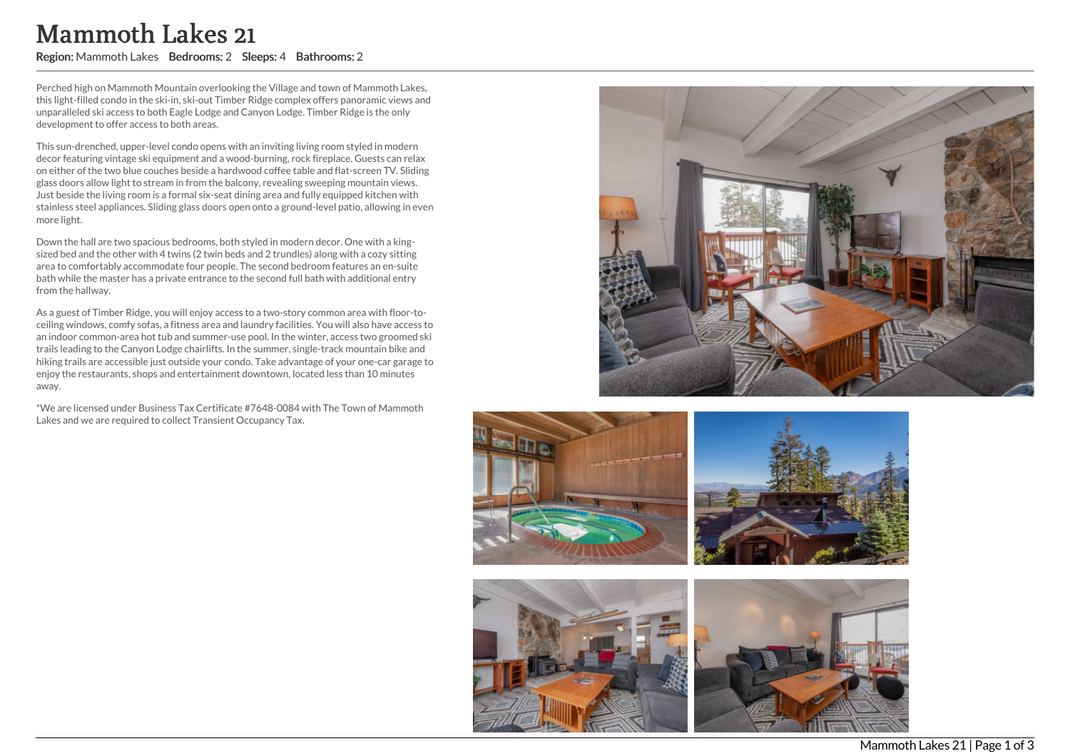## Mammoth Lakes 21

## Region: Mammoth Lakes Bedrooms: 2 Sleeps: 4 Bathrooms: 2

Perched high on Mammoth Mountain overlooking the Village and town of Mammoth Lakes, this light-filled condo in the ski-in, ski-out Timber Ridge complex offers panoramic views and unparalleled ski access to both Eagle Lodge and Canyon Lodge. Timber Ridge is the only development to offer access to both areas.

This sun-drenched, upper-level condo opens with an inviting living room styled in modern decor featuring vintage ski equipment and a wood-burning, rock fireplace. Guests can relax on either of the two blue couches beside a hardwood coffee table and flat-screen TV. Sliding glass doors allow light to stream in from the balcony, revealing sweeping mountain views. Just beside the living room is a formal six-seat dining area and fully equipped kitchen with stainless steel appliances. Sliding glass doors open onto a ground-level patio, allowing in even more light.

Down the hall are two spacious bedrooms, both styled in modern decor. One with a kingsized bed and the other with 4 twins (2 twin beds and 2 trundles) along with a cozy sitting area to comfortably accommodate four people. The second bedroom features an en-suite bath while the master has a private entrance to the second full bath with additional entry from the hallway.

As a guest of Timber Ridge, you will enjoy access to a two-story common area with floor-toceiling windows, comfy sofas, a fitness area and laundry facilities. You will also have access to an indoor common-area hot tub and summer-use pool. In the winter, access two groomed ski trails leading to the Canyon Lodge chairlifts. In the summer, single-track mountain bike and hiking trails are accessible just outside your condo. Take advantage of your one-car garage to enjoy the restaurants, shops and entertainment downtown, located less than 10 minutes away.

\*We are licensed under Business Tax Certificate #7648-0084 with The Town of Mammoth Lakes and we are required to collect Transient Occupancy Tax.



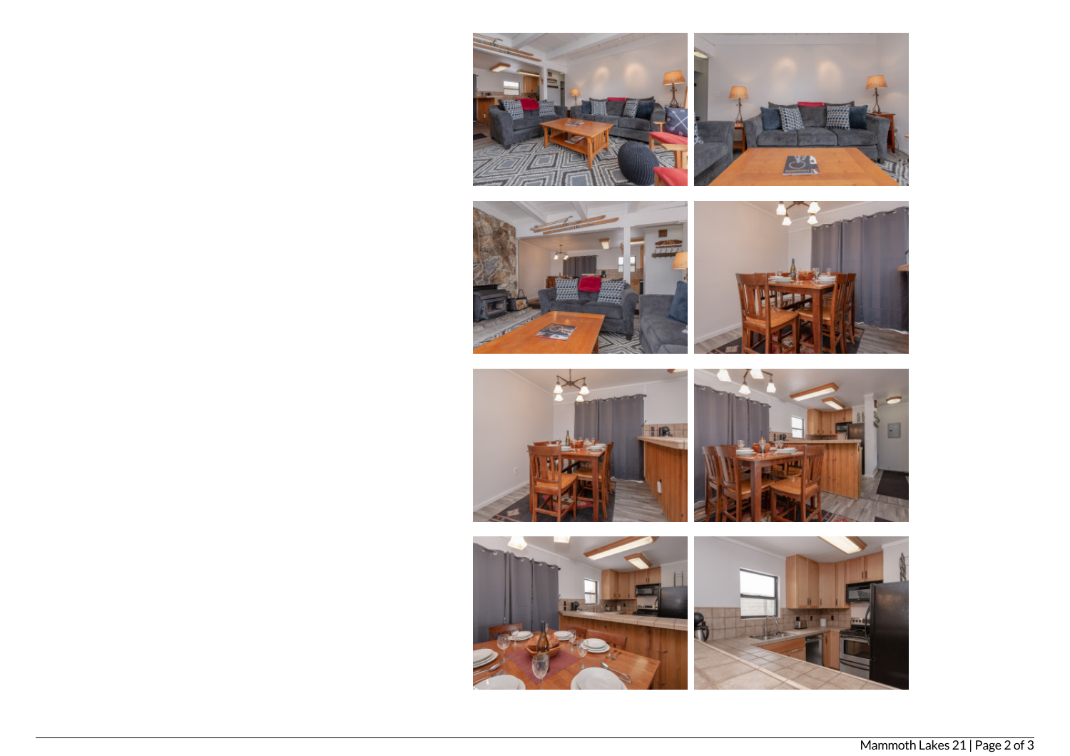